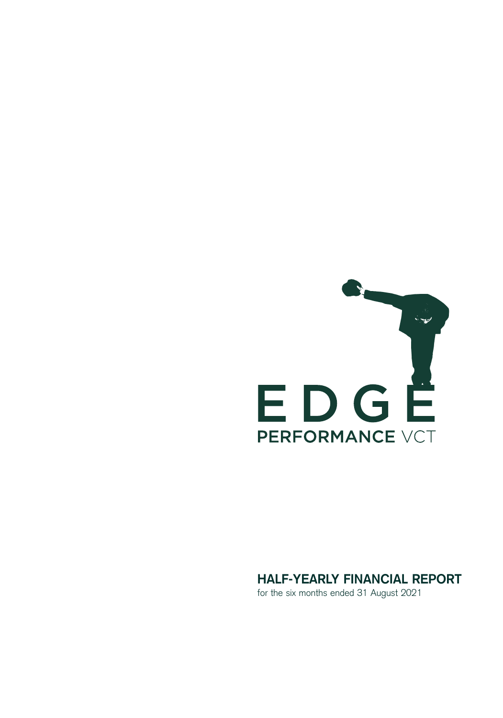

# **HALF-YEARLY FINANCIAL REPORT**

for the six months ended 31 August 2021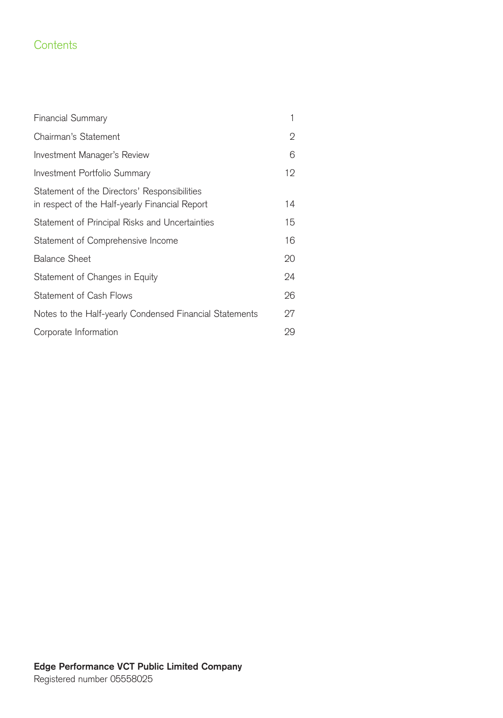# **Contents**

| <b>Financial Summary</b>                                                                       | 1  |
|------------------------------------------------------------------------------------------------|----|
| Chairman's Statement                                                                           | 2  |
| Investment Manager's Review                                                                    | 6  |
| Investment Portfolio Summary                                                                   | 12 |
| Statement of the Directors' Responsibilities<br>in respect of the Half-yearly Financial Report | 14 |
| Statement of Principal Risks and Uncertainties                                                 | 15 |
| Statement of Comprehensive Income                                                              | 16 |
| <b>Balance Sheet</b>                                                                           | 20 |
| Statement of Changes in Equity                                                                 | 24 |
| Statement of Cash Flows                                                                        | 26 |
| Notes to the Half-yearly Condensed Financial Statements                                        | 27 |
| Corporate Information                                                                          | 29 |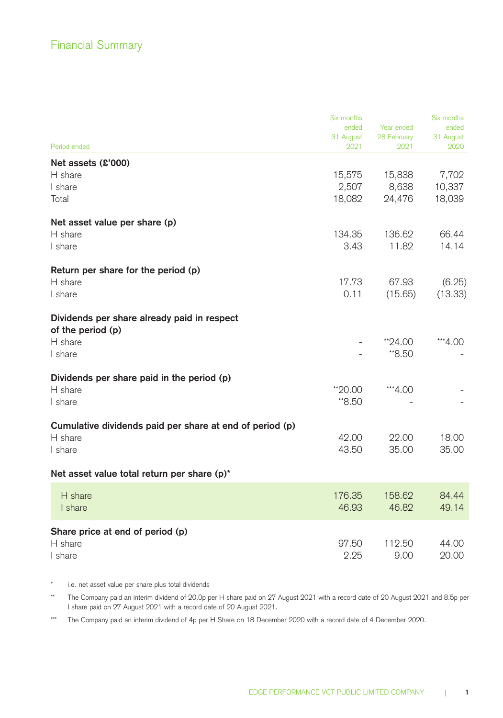|                                                          | Six months        |                     | Six months        |
|----------------------------------------------------------|-------------------|---------------------|-------------------|
|                                                          | ended             | Year ended          | ended             |
| Period ended                                             | 31 August<br>2021 | 28 February<br>2021 | 31 August<br>2020 |
|                                                          |                   |                     |                   |
| Net assets (£'000)                                       |                   |                     |                   |
| H share<br>I share                                       | 15,575            | 15,838              | 7,702             |
|                                                          | 2,507             | 8,638               | 10,337            |
| Total                                                    | 18,082            | 24,476              | 18,039            |
| Net asset value per share (p)                            |                   |                     |                   |
| H share                                                  | 134.35            | 136.62              | 66.44             |
| I share                                                  | 3.43              | 11.82               | 14.14             |
|                                                          |                   |                     |                   |
| Return per share for the period (p)                      |                   |                     |                   |
| H share                                                  | 17.73             | 67.93               | (6.25)            |
| I share                                                  | 0.11              | (15.65)             | (13.33)           |
|                                                          |                   |                     |                   |
| Dividends per share already paid in respect              |                   |                     |                   |
| of the period (p)                                        |                   |                     |                   |
| H share                                                  |                   | $*24.00$            | ***4.00           |
| I share                                                  |                   | **8.50              |                   |
|                                                          |                   |                     |                   |
| Dividends per share paid in the period (p)               |                   |                     |                   |
| H share                                                  | **20.00           | ***4.00             |                   |
| I share                                                  | **8.50            |                     |                   |
|                                                          |                   |                     |                   |
| Cumulative dividends paid per share at end of period (p) |                   |                     |                   |
| H share                                                  | 42.00             | 22.00               | 18.00             |
| I share                                                  | 43.50             | 35.00               | 35,00             |
| Net asset value total return per share (p)*              |                   |                     |                   |
|                                                          |                   |                     |                   |
| H share                                                  | 176.35            | 158.62              | 84.44             |
| I share                                                  | 46.93             | 46.82               | 49.14             |
|                                                          |                   |                     |                   |
| Share price at end of period (p)<br>H share              | 97.50             | 112.50              | 44.00             |
| I share                                                  | 2.25              | 9.00                | 20.00             |
|                                                          |                   |                     |                   |

\* i.e. net asset value per share plus total dividends

\*\* The Company paid an interim dividend of 20.0p per H share paid on 27 August 2021 with a record date of 20 August 2021 and 8.5p per I share paid on 27 August 2021 with a record date of 20 August 2021.

\*\*\* The Company paid an interim dividend of 4p per H Share on 18 December 2020 with a record date of 4 December 2020.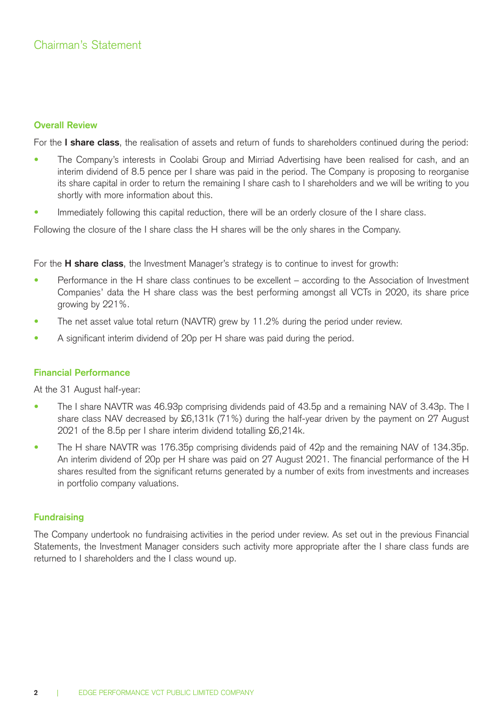### **Overall Review**

For the **I share class**, the realisation of assets and return of funds to shareholders continued during the period:

- The Company's interests in Coolabi Group and Mirriad Advertising have been realised for cash, and an interim dividend of 8.5 pence per I share was paid in the period. The Company is proposing to reorganise its share capital in order to return the remaining I share cash to I shareholders and we will be writing to you shortly with more information about this.
- Immediately following this capital reduction, there will be an orderly closure of the I share class.

Following the closure of the I share class the H shares will be the only shares in the Company.

For the **H share class**, the Investment Manager's strategy is to continue to invest for growth:

- Performance in the H share class continues to be excellent according to the Association of Investment Companies' data the H share class was the best performing amongst all VCTs in 2020, its share price growing by 221%.
- The net asset value total return (NAVTR) grew by 11.2% during the period under review.
- A significant interim dividend of 20p per H share was paid during the period.

### **Financial Performance**

At the 31 August half-year:

- The I share NAVTR was 46.93p comprising dividends paid of 43.5p and a remaining NAV of 3.43p. The I share class NAV decreased by £6,131k (71%) during the half-year driven by the payment on 27 August 2021 of the 8.5p per I share interim dividend totalling £6,214k.
- The H share NAVTR was 176.35p comprising dividends paid of 42p and the remaining NAV of 134.35p. An interim dividend of 20p per H share was paid on 27 August 2021. The financial performance of the H shares resulted from the significant returns generated by a number of exits from investments and increases in portfolio company valuations.

#### **Fundraising**

The Company undertook no fundraising activities in the period under review. As set out in the previous Financial Statements, the Investment Manager considers such activity more appropriate after the I share class funds are returned to I shareholders and the I class wound up.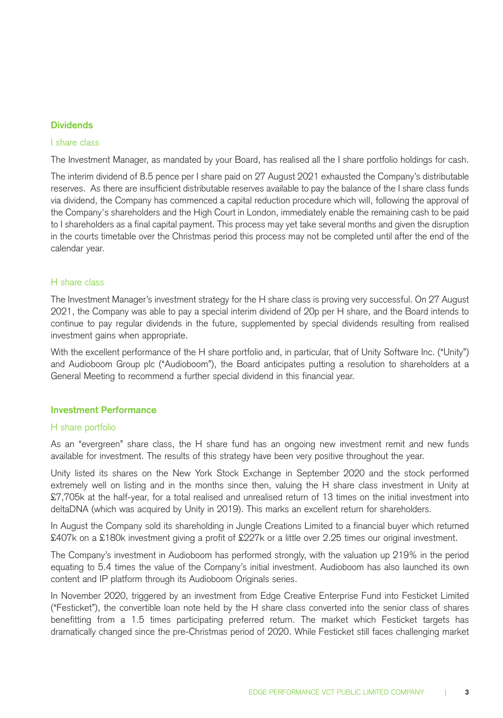### **Dividends**

### I share class

The Investment Manager, as mandated by your Board, has realised all the I share portfolio holdings for cash.

The interim dividend of 8.5 pence per I share paid on 27 August 2021 exhausted the Company's distributable reserves. As there are insufficient distributable reserves available to pay the balance of the I share class funds via dividend, the Company has commenced a capital reduction procedure which will, following the approval of the Company's shareholders and the High Court in London, immediately enable the remaining cash to be paid to I shareholders as a final capital payment. This process may yet take several months and given the disruption in the courts timetable over the Christmas period this process may not be completed until after the end of the calendar year.

### H share class

The Investment Manager's investment strategy for the H share class is proving very successful. On 27 August 2021, the Company was able to pay a special interim dividend of 20p per H share, and the Board intends to continue to pay regular dividends in the future, supplemented by special dividends resulting from realised investment gains when appropriate.

With the excellent performance of the H share portfolio and, in particular, that of Unity Software Inc. ("Unity") and Audioboom Group plc ("Audioboom"), the Board anticipates putting a resolution to shareholders at a General Meeting to recommend a further special dividend in this financial year.

### **Investment Performance**

#### H share portfolio

As an "evergreen" share class, the H share fund has an ongoing new investment remit and new funds available for investment. The results of this strategy have been very positive throughout the year.

Unity listed its shares on the New York Stock Exchange in September 2020 and the stock performed extremely well on listing and in the months since then, valuing the H share class investment in Unity at £7,705k at the half-year, for a total realised and unrealised return of 13 times on the initial investment into deltaDNA (which was acquired by Unity in 2019). This marks an excellent return for shareholders.

In August the Company sold its shareholding in Jungle Creations Limited to a financial buyer which returned £407k on a £180k investment giving a profit of £227k or a little over 2.25 times our original investment.

The Company's investment in Audioboom has performed strongly, with the valuation up 219% in the period equating to 5.4 times the value of the Company's initial investment. Audioboom has also launched its own content and IP platform through its Audioboom Originals series.

In November 2020, triggered by an investment from Edge Creative Enterprise Fund into Festicket Limited ("Festicket"), the convertible loan note held by the H share class converted into the senior class of shares benefitting from a 1.5 times participating preferred return. The market which Festicket targets has dramatically changed since the pre-Christmas period of 2020. While Festicket still faces challenging market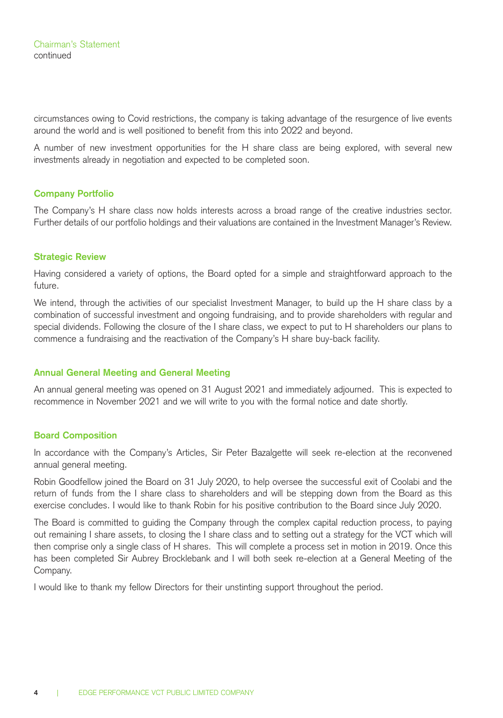circumstances owing to Covid restrictions, the company is taking advantage of the resurgence of live events around the world and is well positioned to benefit from this into 2022 and beyond.

A number of new investment opportunities for the H share class are being explored, with several new investments already in negotiation and expected to be completed soon.

### **Company Portfolio**

The Company's H share class now holds interests across a broad range of the creative industries sector. Further details of our portfolio holdings and their valuations are contained in the Investment Manager's Review.

### **Strategic Review**

Having considered a variety of options, the Board opted for a simple and straightforward approach to the future.

We intend, through the activities of our specialist Investment Manager, to build up the H share class by a combination of successful investment and ongoing fundraising, and to provide shareholders with regular and special dividends. Following the closure of the I share class, we expect to put to H shareholders our plans to commence a fundraising and the reactivation of the Company's H share buy-back facility.

### **Annual General Meeting and General Meeting**

An annual general meeting was opened on 31 August 2021 and immediately adjourned. This is expected to recommence in November 2021 and we will write to you with the formal notice and date shortly.

### **Board Composition**

In accordance with the Company's Articles, Sir Peter Bazalgette will seek re-election at the reconvened annual general meeting.

Robin Goodfellow joined the Board on 31 July 2020, to help oversee the successful exit of Coolabi and the return of funds from the I share class to shareholders and will be stepping down from the Board as this exercise concludes. I would like to thank Robin for his positive contribution to the Board since July 2020.

The Board is committed to guiding the Company through the complex capital reduction process, to paying out remaining I share assets, to closing the I share class and to setting out a strategy for the VCT which will then comprise only a single class of H shares. This will complete a process set in motion in 2019. Once this has been completed Sir Aubrey Brocklebank and I will both seek re-election at a General Meeting of the Company.

I would like to thank my fellow Directors for their unstinting support throughout the period.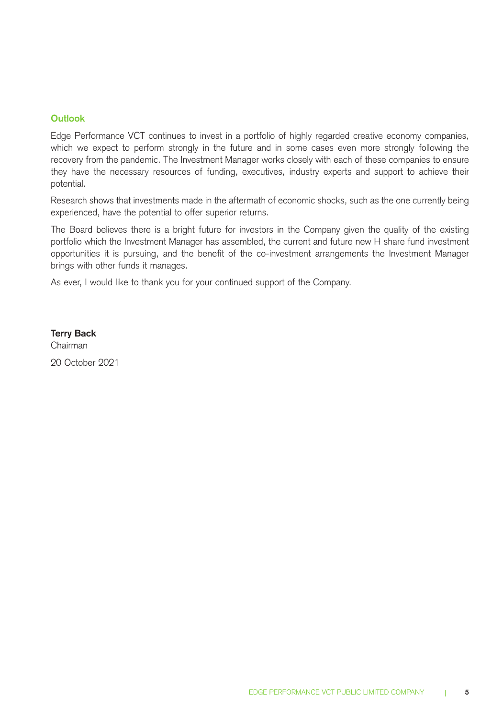### **Outlook**

Edge Performance VCT continues to invest in a portfolio of highly regarded creative economy companies, which we expect to perform strongly in the future and in some cases even more strongly following the recovery from the pandemic. The Investment Manager works closely with each of these companies to ensure they have the necessary resources of funding, executives, industry experts and support to achieve their potential.

Research shows that investments made in the aftermath of economic shocks, such as the one currently being experienced, have the potential to offer superior returns.

The Board believes there is a bright future for investors in the Company given the quality of the existing portfolio which the Investment Manager has assembled, the current and future new H share fund investment opportunities it is pursuing, and the benefit of the co-investment arrangements the Investment Manager brings with other funds it manages.

As ever, I would like to thank you for your continued support of the Company.

**Terry Back**  Chairman 20 October 2021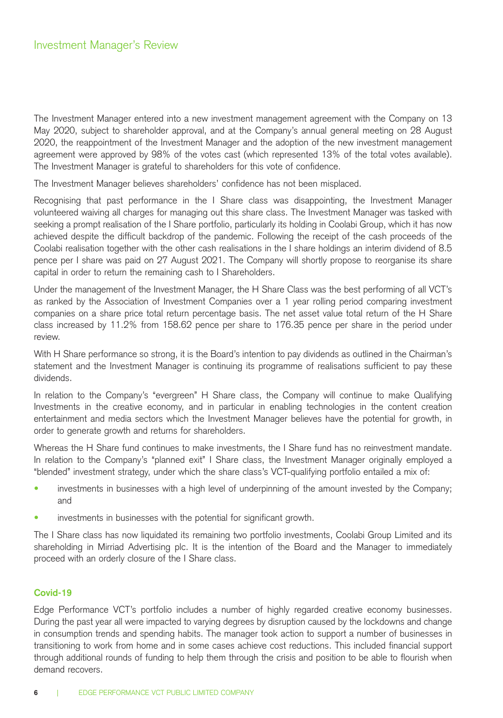The Investment Manager entered into a new investment management agreement with the Company on 13 May 2020, subject to shareholder approval, and at the Company's annual general meeting on 28 August 2020, the reappointment of the Investment Manager and the adoption of the new investment management agreement were approved by 98% of the votes cast (which represented 13% of the total votes available). The Investment Manager is grateful to shareholders for this vote of confidence.

The Investment Manager believes shareholders' confidence has not been misplaced.

Recognising that past performance in the I Share class was disappointing, the Investment Manager volunteered waiving all charges for managing out this share class. The Investment Manager was tasked with seeking a prompt realisation of the I Share portfolio, particularly its holding in Coolabi Group, which it has now achieved despite the difficult backdrop of the pandemic. Following the receipt of the cash proceeds of the Coolabi realisation together with the other cash realisations in the I share holdings an interim dividend of 8.5 pence per I share was paid on 27 August 2021. The Company will shortly propose to reorganise its share capital in order to return the remaining cash to I Shareholders.

Under the management of the Investment Manager, the H Share Class was the best performing of all VCT's as ranked by the Association of Investment Companies over a 1 year rolling period comparing investment companies on a share price total return percentage basis. The net asset value total return of the H Share class increased by 11.2% from 158.62 pence per share to 176.35 pence per share in the period under review.

With H Share performance so strong, it is the Board's intention to pay dividends as outlined in the Chairman's statement and the Investment Manager is continuing its programme of realisations sufficient to pay these dividends.

In relation to the Company's "evergreen" H Share class, the Company will continue to make Qualifying Investments in the creative economy, and in particular in enabling technologies in the content creation entertainment and media sectors which the Investment Manager believes have the potential for growth, in order to generate growth and returns for shareholders.

Whereas the H Share fund continues to make investments, the I Share fund has no reinvestment mandate. In relation to the Company's "planned exit" I Share class, the Investment Manager originally employed a "blended" investment strategy, under which the share class's VCT-qualifying portfolio entailed a mix of:

- investments in businesses with a high level of underpinning of the amount invested by the Company; and
- investments in businesses with the potential for significant growth.

The I Share class has now liquidated its remaining two portfolio investments, Coolabi Group Limited and its shareholding in Mirriad Advertising plc. It is the intention of the Board and the Manager to immediately proceed with an orderly closure of the I Share class.

### **Covid-19**

Edge Performance VCT's portfolio includes a number of highly regarded creative economy businesses. During the past year all were impacted to varying degrees by disruption caused by the lockdowns and change in consumption trends and spending habits. The manager took action to support a number of businesses in transitioning to work from home and in some cases achieve cost reductions. This included financial support through additional rounds of funding to help them through the crisis and position to be able to flourish when demand recovers.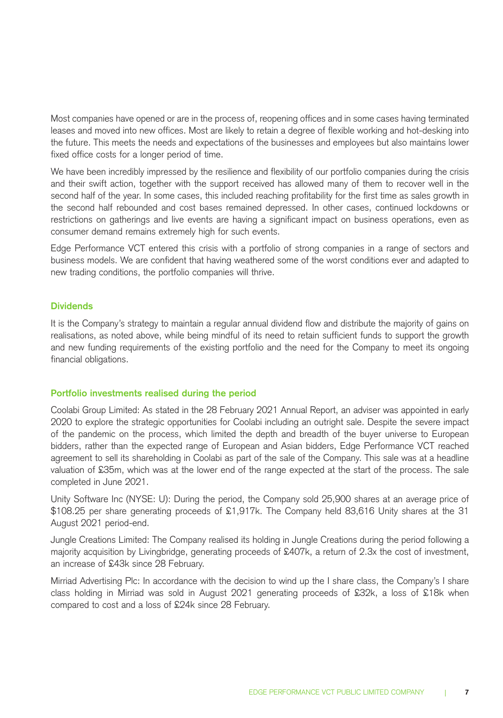Most companies have opened or are in the process of, reopening offices and in some cases having terminated leases and moved into new offices. Most are likely to retain a degree of flexible working and hot-desking into the future. This meets the needs and expectations of the businesses and employees but also maintains lower fixed office costs for a longer period of time.

We have been incredibly impressed by the resilience and flexibility of our portfolio companies during the crisis and their swift action, together with the support received has allowed many of them to recover well in the second half of the year. In some cases, this included reaching profitability for the first time as sales growth in the second half rebounded and cost bases remained depressed. In other cases, continued lockdowns or restrictions on gatherings and live events are having a significant impact on business operations, even as consumer demand remains extremely high for such events.

Edge Performance VCT entered this crisis with a portfolio of strong companies in a range of sectors and business models. We are confident that having weathered some of the worst conditions ever and adapted to new trading conditions, the portfolio companies will thrive.

### **Dividends**

It is the Company's strategy to maintain a regular annual dividend flow and distribute the majority of gains on realisations, as noted above, while being mindful of its need to retain sufficient funds to support the growth and new funding requirements of the existing portfolio and the need for the Company to meet its ongoing financial obligations.

#### **Portfolio investments realised during the period**

Coolabi Group Limited: As stated in the 28 February 2021 Annual Report, an adviser was appointed in early 2020 to explore the strategic opportunities for Coolabi including an outright sale. Despite the severe impact of the pandemic on the process, which limited the depth and breadth of the buyer universe to European bidders, rather than the expected range of European and Asian bidders, Edge Performance VCT reached agreement to sell its shareholding in Coolabi as part of the sale of the Company. This sale was at a headline valuation of £35m, which was at the lower end of the range expected at the start of the process. The sale completed in June 2021.

Unity Software Inc (NYSE: U): During the period, the Company sold 25,900 shares at an average price of \$108.25 per share generating proceeds of £1,917k. The Company held 83,616 Unity shares at the 31 August 2021 period-end.

Jungle Creations Limited: The Company realised its holding in Jungle Creations during the period following a majority acquisition by Livingbridge, generating proceeds of £407k, a return of 2.3x the cost of investment, an increase of £43k since 28 February.

Mirriad Advertising Plc: In accordance with the decision to wind up the I share class, the Company's I share class holding in Mirriad was sold in August 2021 generating proceeds of £32k, a loss of £18k when compared to cost and a loss of £24k since 28 February.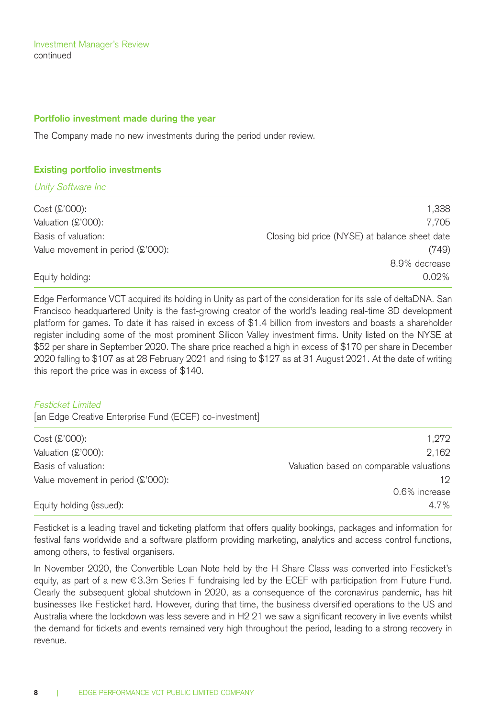Investment Manager's Review continued

#### **Portfolio investment made during the year**

The Company made no new investments during the period under review.

#### **Existing portfolio investments**

Unity Software Inc

| $Cost(S'000)$ :                   | 1.338                                          |
|-----------------------------------|------------------------------------------------|
| Valuation (£'000):                | 7.705                                          |
| Basis of valuation:               | Closing bid price (NYSE) at balance sheet date |
| Value movement in period (£'000): | (749)                                          |
|                                   | 8.9% decrease                                  |
| Equity holding:                   | $0.02\%$                                       |

Edge Performance VCT acquired its holding in Unity as part of the consideration for its sale of deltaDNA. San Francisco headquartered Unity is the fast-growing creator of the world's leading real-time 3D development platform for games. To date it has raised in excess of \$1.4 billion from investors and boasts a shareholder register including some of the most prominent Silicon Valley investment firms. Unity listed on the NYSE at \$52 per share in September 2020. The share price reached a high in excess of \$170 per share in December 2020 falling to \$107 as at 28 February 2021 and rising to \$127 as at 31 August 2021. At the date of writing this report the price was in excess of \$140.

#### Festicket Limited

[an Edge Creative Enterprise Fund (ECEF) co-investment]

| 1.272                                    |
|------------------------------------------|
| 2.162                                    |
| Valuation based on comparable valuations |
| 19.                                      |
| 0.6% increase                            |
| 4.7%                                     |
|                                          |

Festicket is a leading travel and ticketing platform that offers quality bookings, packages and information for festival fans worldwide and a software platform providing marketing, analytics and access control functions, among others, to festival organisers.

In November 2020, the Convertible Loan Note held by the H Share Class was converted into Festicket's equity, as part of a new €3.3m Series F fundraising led by the ECEF with participation from Future Fund. Clearly the subsequent global shutdown in 2020, as a consequence of the coronavirus pandemic, has hit businesses like Festicket hard. However, during that time, the business diversified operations to the US and Australia where the lockdown was less severe and in H2 21 we saw a significant recovery in live events whilst the demand for tickets and events remained very high throughout the period, leading to a strong recovery in revenue.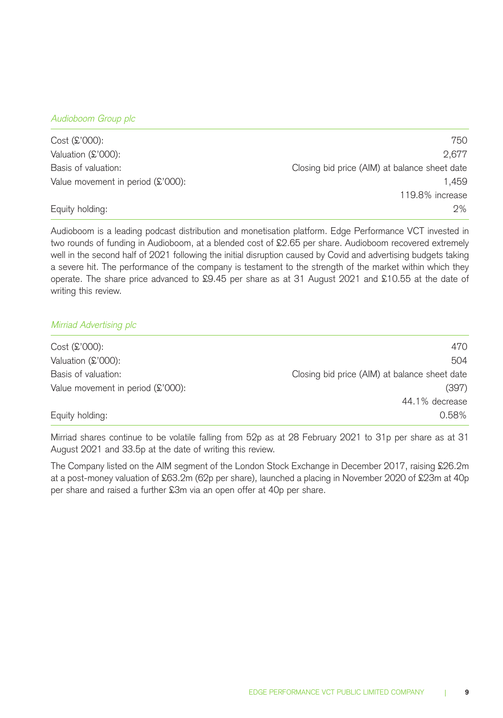### Audioboom Group plc

| $Cost(S'000)$ :                              | 750                                           |
|----------------------------------------------|-----------------------------------------------|
| Valuation (£'000):                           | 2.677                                         |
| Basis of valuation:                          | Closing bid price (AIM) at balance sheet date |
| Value movement in period $(\text{\$'}000)$ : | 1.459                                         |
|                                              | 119.8% increase                               |
| Equity holding:                              | 2%                                            |

Audioboom is a leading podcast distribution and monetisation platform. Edge Performance VCT invested in two rounds of funding in Audioboom, at a blended cost of £2.65 per share. Audioboom recovered extremely well in the second half of 2021 following the initial disruption caused by Covid and advertising budgets taking a severe hit. The performance of the company is testament to the strength of the market within which they operate. The share price advanced to £9.45 per share as at 31 August 2021 and £10.55 at the date of writing this review.

### Mirriad Advertising plc

| $Cost(S'000)$ :                   | 470                                           |
|-----------------------------------|-----------------------------------------------|
| Valuation (£'000):                | 504                                           |
| Basis of valuation:               | Closing bid price (AIM) at balance sheet date |
| Value movement in period (£'000): | (397)                                         |
|                                   | 44.1% decrease                                |
| Equity holding:                   | 0.58%                                         |
|                                   |                                               |

Mirriad shares continue to be volatile falling from 52p as at 28 February 2021 to 31p per share as at 31 August 2021 and 33.5p at the date of writing this review.

The Company listed on the AIM segment of the London Stock Exchange in December 2017, raising £26.2m at a post-money valuation of £63.2m (62p per share), launched a placing in November 2020 of £23m at 40p per share and raised a further £3m via an open offer at 40p per share.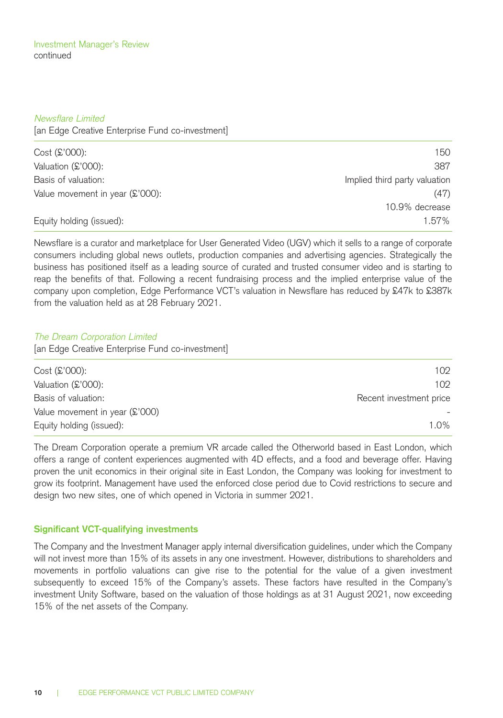#### Newsflare Limited

[an Edge Creative Enterprise Fund co-investment]

| $Cost(S'000)$ :                 | 150                           |
|---------------------------------|-------------------------------|
| Valuation (£'000):              | 387                           |
| Basis of valuation:             | Implied third party valuation |
| Value movement in year (£'000): | (47)                          |
|                                 | 10.9% decrease                |
| Equity holding (issued):        | $1.57\%$                      |

Newsflare is a curator and marketplace for User Generated Video (UGV) which it sells to a range of corporate consumers including global news outlets, production companies and advertising agencies. Strategically the business has positioned itself as a leading source of curated and trusted consumer video and is starting to reap the benefits of that. Following a recent fundraising process and the implied enterprise value of the company upon completion, Edge Performance VCT's valuation in Newsflare has reduced by £47k to £387k from the valuation held as at 28 February 2021.

### The Dream Corporation Limited

[an Edge Creative Enterprise Fund co-investment]

| $Cost(S'000)$ :                | 102                     |
|--------------------------------|-------------------------|
| Valuation (£'000):             | 102                     |
| Basis of valuation:            | Recent investment price |
| Value movement in year (£'000) |                         |
| Equity holding (issued):       | 1.0%                    |
|                                |                         |

The Dream Corporation operate a premium VR arcade called the Otherworld based in East London, which offers a range of content experiences augmented with 4D effects, and a food and beverage offer. Having proven the unit economics in their original site in East London, the Company was looking for investment to grow its footprint. Management have used the enforced close period due to Covid restrictions to secure and design two new sites, one of which opened in Victoria in summer 2021.

### **Significant VCT-qualifying investments**

The Company and the Investment Manager apply internal diversification guidelines, under which the Company will not invest more than 15% of its assets in any one investment. However, distributions to shareholders and movements in portfolio valuations can give rise to the potential for the value of a given investment subsequently to exceed 15% of the Company's assets. These factors have resulted in the Company's investment Unity Software, based on the valuation of those holdings as at 31 August 2021, now exceeding 15% of the net assets of the Company.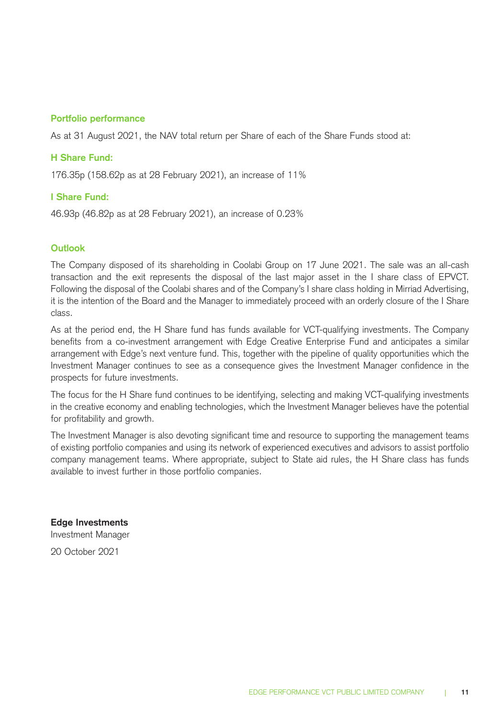### **Portfolio performance**

As at 31 August 2021, the NAV total return per Share of each of the Share Funds stood at:

### **H Share Fund:**

176.35p (158.62p as at 28 February 2021), an increase of 11%

### **I Share Fund:**

46.93p (46.82p as at 28 February 2021), an increase of 0.23%

### **Outlook**

The Company disposed of its shareholding in Coolabi Group on 17 June 2021. The sale was an all-cash transaction and the exit represents the disposal of the last major asset in the I share class of EPVCT. Following the disposal of the Coolabi shares and of the Company's I share class holding in Mirriad Advertising, it is the intention of the Board and the Manager to immediately proceed with an orderly closure of the I Share class.

As at the period end, the H Share fund has funds available for VCT-qualifying investments. The Company benefits from a co-investment arrangement with Edge Creative Enterprise Fund and anticipates a similar arrangement with Edge's next venture fund. This, together with the pipeline of quality opportunities which the Investment Manager continues to see as a consequence gives the Investment Manager confidence in the prospects for future investments.

The focus for the H Share fund continues to be identifying, selecting and making VCT-qualifying investments in the creative economy and enabling technologies, which the Investment Manager believes have the potential for profitability and growth.

The Investment Manager is also devoting significant time and resource to supporting the management teams of existing portfolio companies and using its network of experienced executives and advisors to assist portfolio company management teams. Where appropriate, subject to State aid rules, the H Share class has funds available to invest further in those portfolio companies.

**Edge Investments**  Investment Manager 20 October 2021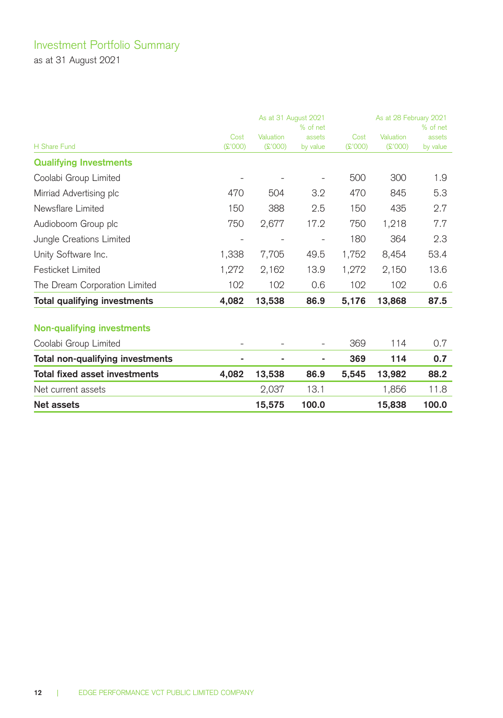# Investment Portfolio Summary

as at 31 August 2021

|                                      | As at 31 August 2021<br>% of net |           |          | As at 28 February 2021<br>% of net |           |          |  |
|--------------------------------------|----------------------------------|-----------|----------|------------------------------------|-----------|----------|--|
|                                      | Cost                             | Valuation | assets   | Cost                               | Valuation | assets   |  |
| H Share Fund                         | $($ 2'000)                       | (000)     | by value | (2'000)                            | (E'000)   | by value |  |
| <b>Qualifying Investments</b>        |                                  |           |          |                                    |           |          |  |
| Coolabi Group Limited                |                                  |           |          | 500                                | 300       | 1.9      |  |
| Mirriad Advertising plc              | 470                              | 504       | 3.2      | 470                                | 845       | 5.3      |  |
| Newsflare Limited                    | 150                              | 388       | 2.5      | 150                                | 435       | 2.7      |  |
| Audioboom Group plc                  | 750                              | 2,677     | 17.2     | 750                                | 1,218     | 7.7      |  |
| Jungle Creations Limited             |                                  |           |          | 180                                | 364       | 2.3      |  |
| Unity Software Inc.                  | 1,338                            | 7,705     | 49.5     | 1,752                              | 8,454     | 53.4     |  |
| <b>Festicket Limited</b>             | 1,272                            | 2,162     | 13.9     | 1,272                              | 2,150     | 13.6     |  |
| The Dream Corporation Limited        | 102                              | 102       | 0.6      | 102                                | 102       | 0.6      |  |
| Total qualifying investments         | 4,082                            | 13,538    | 86.9     | 5,176                              | 13,868    | 87.5     |  |
| Non-qualifying investments           |                                  |           |          |                                    |           |          |  |
| Coolabi Group Limited                |                                  |           |          | 369                                | 114       | 0.7      |  |
| Total non-qualifying investments     | ۰                                | ۰         |          | 369                                | 114       | 0.7      |  |
| <b>Total fixed asset investments</b> | 4.082                            | 13,538    | 86.9     | 5,545                              | 13,982    | 88.2     |  |
| Net current assets                   |                                  | 2,037     | 13.1     |                                    | 1,856     | 11.8     |  |
| Net assets                           |                                  | 15,575    | 100.0    |                                    | 15.838    | 100.0    |  |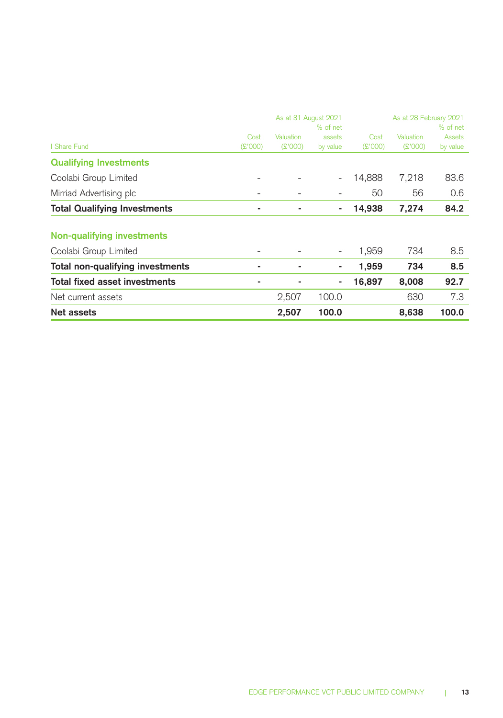|                                     |                          | As at 31 August 2021 | As at 28 February 2021   |            |           |          |
|-------------------------------------|--------------------------|----------------------|--------------------------|------------|-----------|----------|
|                                     |                          |                      | % of net                 |            |           | % of net |
|                                     | Cost                     | Valuation            | assets                   | Cost       | Valuation | Assets   |
| <b>Share Fund</b>                   | (000'3)                  | (000)                | by value                 | $($ £'000) | (000'3)   | by value |
| <b>Qualifying Investments</b>       |                          |                      |                          |            |           |          |
| Coolabi Group Limited               |                          |                      |                          | 14.888     | 7,218     | 83.6     |
| Mirriad Advertising plc             | $\overline{\phantom{0}}$ |                      |                          | 50         | 56        | 0.6      |
| <b>Total Qualifying Investments</b> | ۰                        |                      | ۰                        | 14,938     | 7,274     | 84.2     |
|                                     |                          |                      |                          |            |           |          |
| Non-qualifying investments          |                          |                      |                          |            |           |          |
| Coolabi Group Limited               | $\overline{\phantom{0}}$ |                      | $\overline{\phantom{a}}$ | 1,959      | 734       | 8.5      |
| Total non-qualifying investments    | ۰                        | ۰                    | ٠                        | 1,959      | 734       | 8.5      |
| Total fixed asset investments       | ۰                        |                      | ۰                        | 16,897     | 8,008     | 92.7     |
| Net current assets                  |                          | 2,507                | 100.0                    |            | 630       | 7.3      |
| Net assets                          |                          | 2,507                | 100.0                    |            | 8,638     | 100.0    |
|                                     |                          |                      |                          |            |           |          |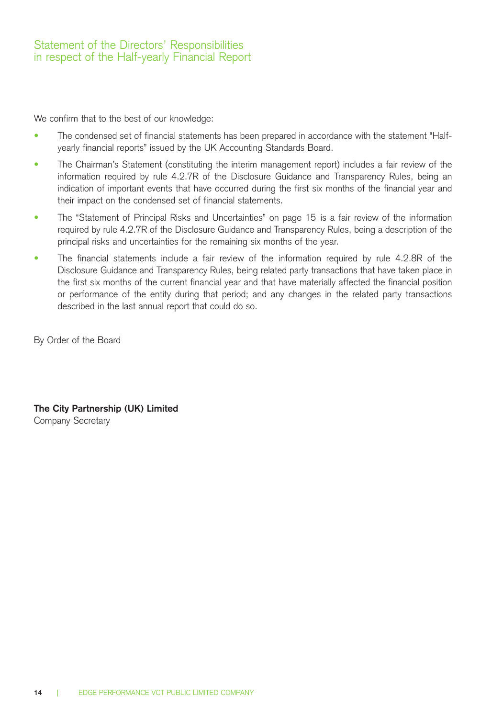We confirm that to the best of our knowledge:

- The condensed set of financial statements has been prepared in accordance with the statement "Halfyearly financial reports" issued by the UK Accounting Standards Board.
- The Chairman's Statement (constituting the interim management report) includes a fair review of the information required by rule 4.2.7R of the Disclosure Guidance and Transparency Rules, being an indication of important events that have occurred during the first six months of the financial year and their impact on the condensed set of financial statements.
- The "Statement of Principal Risks and Uncertainties" on page 15 is a fair review of the information required by rule 4.2.7R of the Disclosure Guidance and Transparency Rules, being a description of the principal risks and uncertainties for the remaining six months of the year.
- The financial statements include a fair review of the information required by rule 4.2.8R of the Disclosure Guidance and Transparency Rules, being related party transactions that have taken place in the first six months of the current financial year and that have materially affected the financial position or performance of the entity during that period; and any changes in the related party transactions described in the last annual report that could do so.

By Order of the Board

**The City Partnership (UK) Limited**  Company Secretary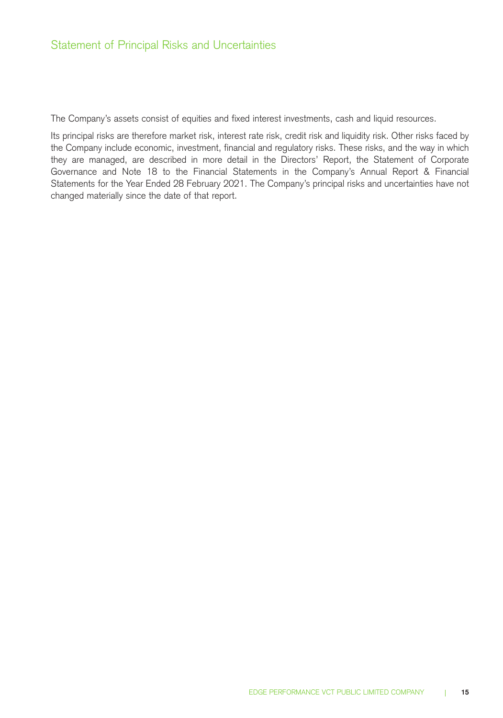The Company's assets consist of equities and fixed interest investments, cash and liquid resources.

Its principal risks are therefore market risk, interest rate risk, credit risk and liquidity risk. Other risks faced by the Company include economic, investment, financial and regulatory risks. These risks, and the way in which they are managed, are described in more detail in the Directors' Report, the Statement of Corporate Governance and Note 18 to the Financial Statements in the Company's Annual Report & Financial Statements for the Year Ended 28 February 2021. The Company's principal risks and uncertainties have not changed materially since the date of that report.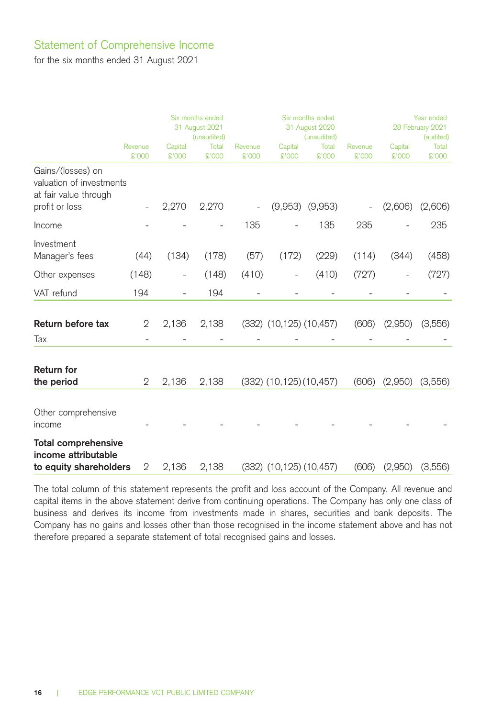### Statement of Comprehensive Income

for the six months ended 31 August 2021

|                                                                                          |                   | Six months ended<br>31 August 2021<br>(unaudited) |                 |                   |                                 | Six months ended<br>31 August 2020<br>(unaudited) | Year ended<br>28 February 2021<br>(audited) |                   |                |
|------------------------------------------------------------------------------------------|-------------------|---------------------------------------------------|-----------------|-------------------|---------------------------------|---------------------------------------------------|---------------------------------------------|-------------------|----------------|
|                                                                                          | Revenue<br>\$'000 | Capital<br>\$'000                                 | Total<br>\$'000 | Revenue<br>\$'000 | Capital<br>£'000                | Total<br>£'000                                    | Revenue<br>\$'000                           | Capital<br>\$'000 | Total<br>£'000 |
| Gains/(losses) on<br>valuation of investments<br>at fair value through<br>profit or loss |                   | 2,270                                             | 2,270           |                   |                                 | $(9,953)$ $(9,953)$                               |                                             | (2,606)           | (2,606)        |
| Income                                                                                   |                   |                                                   |                 | 135               |                                 | 135                                               | 235                                         |                   | 235            |
| Investment<br>Manager's fees                                                             | (44)              | (134)                                             | (178)           | (57)              | (172)                           | (229)                                             | (114)                                       | (344)             | (458)          |
| Other expenses                                                                           | (148)             |                                                   | (148)           | (410)             |                                 | (410)                                             | (727)                                       |                   | (727)          |
| VAT refund                                                                               | 194               |                                                   | 194             |                   |                                 |                                                   |                                             |                   |                |
| Return before tax                                                                        | 2                 | 2,136                                             | 2,138           |                   | $(332)$ $(10, 125)$ $(10, 457)$ |                                                   | (606)                                       | (2,950)           | (3,556)        |
| Tax                                                                                      |                   |                                                   |                 |                   |                                 |                                                   |                                             |                   |                |
| <b>Return for</b><br>the period                                                          | $\mathbf{2}$      | 2,136                                             | 2,138           |                   | $(332)$ $(10, 125)$ $(10, 457)$ |                                                   | (606)                                       | (2,950)           | (3,556)        |
| Other comprehensive<br>income                                                            |                   |                                                   |                 |                   |                                 |                                                   |                                             |                   |                |
| <b>Total comprehensive</b><br>income attributable<br>to equity shareholders              | 2                 | 2,136                                             | 2,138           |                   | $(332)$ $(10, 125)$ $(10, 457)$ |                                                   | (606)                                       | (2,950)           | (3,556)        |

The total column of this statement represents the profit and loss account of the Company. All revenue and capital items in the above statement derive from continuing operations. The Company has only one class of business and derives its income from investments made in shares, securities and bank deposits. The Company has no gains and losses other than those recognised in the income statement above and has not therefore prepared a separate statement of total recognised gains and losses.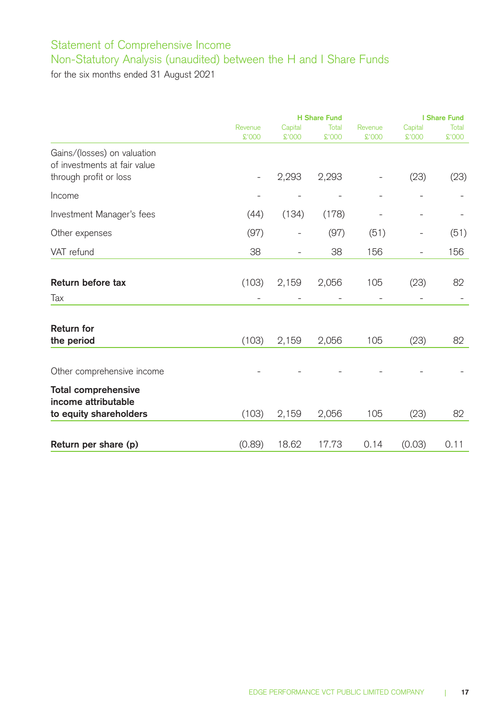## Statement of Comprehensive Income Non-Statutory Analysis (unaudited) between the H and I Share Funds

for the six months ended 31 August 2021

|                                                                                       |                   | <b>H</b> Share Fund |                 |                   |                          |                |
|---------------------------------------------------------------------------------------|-------------------|---------------------|-----------------|-------------------|--------------------------|----------------|
|                                                                                       | Revenue<br>\$'000 | Capital<br>\$'000   | Total<br>\$'000 | Revenue<br>\$'000 | Capital<br>\$'000        | Total<br>£'000 |
| Gains/(losses) on valuation<br>of investments at fair value<br>through profit or loss | $\overline{a}$    | 2,293               | 2,293           | -                 | (23)                     | (23)           |
| Income                                                                                |                   |                     |                 | $\overline{a}$    |                          |                |
| Investment Manager's fees                                                             | (44)              | (134)               | (178)           |                   |                          |                |
| Other expenses                                                                        | (97)              |                     | (97)            | (51)              | $\overline{a}$           | (51)           |
| VAT refund                                                                            | 38                | $\overline{a}$      | 38              | 156               | $\overline{\phantom{0}}$ | 156            |
| Return before tax                                                                     | (103)             | 2,159               | 2,056           | 105               | (23)                     | 82             |
| Tax                                                                                   |                   |                     |                 |                   |                          |                |
| <b>Return for</b><br>the period                                                       | (103)             | 2,159               | 2,056           | 105               | (23)                     | 82             |
| Other comprehensive income                                                            |                   |                     |                 |                   |                          |                |
| <b>Total comprehensive</b><br>income attributable                                     |                   |                     |                 |                   |                          |                |
| to equity shareholders                                                                | (103)             | 2,159               | 2,056           | 105               | (23)                     | 82             |
| Return per share (p)                                                                  | (0.89)            | 18.62               | 17.73           | 0.14              | (0.03)                   | 0.11           |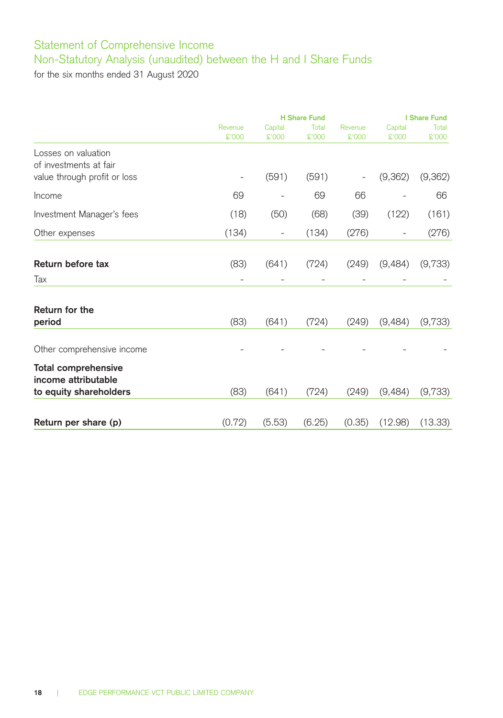## Statement of Comprehensive Income Non-Statutory Analysis (unaudited) between the H and I Share Funds

for the six months ended 31 August 2020

|                                                        |                          | <b>H</b> Share Fund      |                |                   |                   | I Share Fund   |  |  |
|--------------------------------------------------------|--------------------------|--------------------------|----------------|-------------------|-------------------|----------------|--|--|
|                                                        | Revenue<br>\$'000        | Capital<br>\$'000        | Total<br>£'000 | Revenue<br>\$'000 | Capital<br>\$'000 | Total<br>£'000 |  |  |
| Losses on valuation                                    |                          |                          |                |                   |                   |                |  |  |
| of investments at fair<br>value through profit or loss | $\overline{\phantom{a}}$ | (591)                    | (591)          |                   | (9,362)           | (9,362)        |  |  |
| Income                                                 | 69                       |                          | 69             | 66                |                   | 66             |  |  |
| Investment Manager's fees                              | (18)                     | (50)                     | (68)           | (39)              | (122)             | (161)          |  |  |
| Other expenses                                         | (134)                    | $\overline{\phantom{a}}$ | (134)          | (276)             |                   | (276)          |  |  |
| Return before tax                                      | (83)                     | (641)                    | (724)          | (249)             | (9,484)           | (9,733)        |  |  |
| Tax                                                    |                          |                          |                |                   |                   |                |  |  |
| Return for the<br>period                               | (83)                     | (641)                    | (724)          | (249)             | (9,484)           | (9,733)        |  |  |
| Other comprehensive income                             |                          |                          |                |                   |                   |                |  |  |
| <b>Total comprehensive</b><br>income attributable      |                          |                          |                |                   |                   |                |  |  |
| to equity shareholders                                 | (83)                     | (641)                    | (724)          | (249)             | (9,484)           | (9,733)        |  |  |
| Return per share (p)                                   | (0.72)                   | (5.53)                   | (6.25)         | (0.35)            | (12.98)           | (13.33)        |  |  |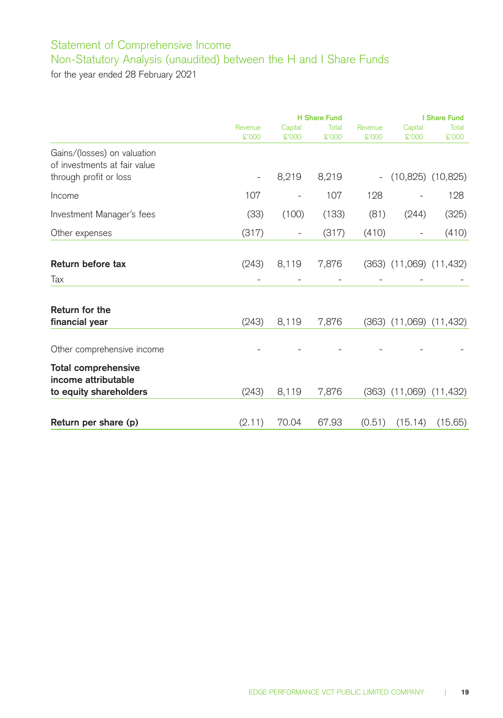# Statement of Comprehensive Income Non-Statutory Analysis (unaudited) between the H and I Share Funds

for the year ended 28 February 2021

|                              |                | <b>H</b> Share Fund      |        |         |                               | I Share Fund |  |  |
|------------------------------|----------------|--------------------------|--------|---------|-------------------------------|--------------|--|--|
|                              | Revenue        | Capital                  | Total  | Revenue | Capital                       | Total        |  |  |
|                              | \$'000         | \$'000                   | \$'000 | \$'000  | \$'000                        | <b>COO'2</b> |  |  |
| Gains/(losses) on valuation  |                |                          |        |         |                               |              |  |  |
| of investments at fair value |                |                          |        |         |                               |              |  |  |
| through profit or loss       | $\overline{a}$ | 8,219                    | 8,219  |         | $(10,825)$ $(10,825)$         |              |  |  |
|                              |                |                          |        |         |                               |              |  |  |
| Income                       | 107            |                          | 107    | 128     |                               | 128          |  |  |
| Investment Manager's fees    | (33)           | (100)                    | (133)  | (81)    | (244)                         | (325)        |  |  |
| Other expenses               | (317)          | $\overline{\phantom{a}}$ | (317)  | (410)   | $\overline{\phantom{0}}$      | (410)        |  |  |
|                              |                |                          |        |         |                               |              |  |  |
| Return before tax            | (243)          | 8,119                    | 7,876  |         | $(363)$ $(11,069)$ $(11,432)$ |              |  |  |
| Tax                          |                |                          |        |         |                               |              |  |  |
|                              |                |                          |        |         |                               |              |  |  |
| Return for the               |                |                          |        |         |                               |              |  |  |
| financial year               | (243)          | 8,119                    | 7,876  |         | $(363)$ $(11,069)$ $(11,432)$ |              |  |  |
| Other comprehensive income   |                |                          |        |         |                               |              |  |  |
|                              |                |                          |        |         |                               |              |  |  |
| <b>Total comprehensive</b>   |                |                          |        |         |                               |              |  |  |
| income attributable          |                |                          |        |         |                               |              |  |  |
| to equity shareholders       | (243)          | 8,119                    | 7,876  |         | $(363)$ $(11,069)$ $(11,432)$ |              |  |  |
|                              |                |                          |        |         |                               |              |  |  |
| Return per share (p)         | (2.11)         | 70.04                    | 67.93  | (0.51)  | (15.14)                       | (15.65)      |  |  |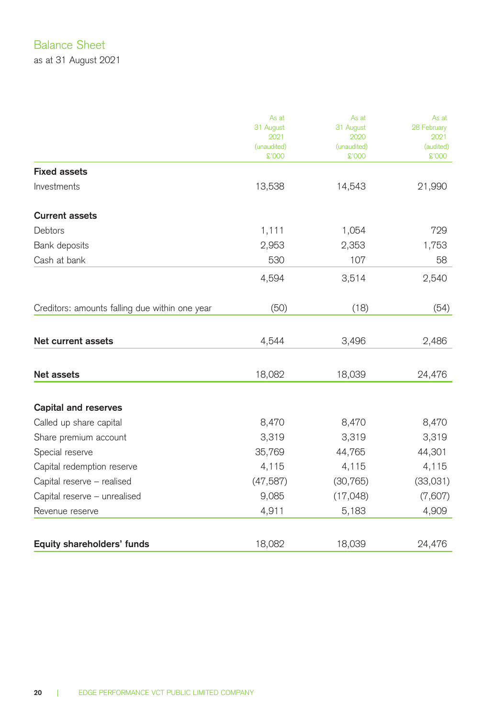## Balance Sheet

as at 31 August 2021

|                                                | As at               | As at               | As at             |
|------------------------------------------------|---------------------|---------------------|-------------------|
|                                                | 31 August           | 31 August           | 28 February       |
|                                                | 2021<br>(unaudited) | 2020<br>(unaudited) | 2021<br>(audited) |
|                                                | \$'000              | \$'000              | £'000             |
| <b>Fixed assets</b>                            |                     |                     |                   |
| Investments                                    | 13,538              | 14,543              | 21,990            |
| <b>Current assets</b>                          |                     |                     |                   |
| Debtors                                        | 1,111               | 1,054               | 729               |
| Bank deposits                                  | 2,953               | 2,353               | 1,753             |
| Cash at bank                                   | 530                 | 107                 | 58                |
|                                                | 4,594               | 3,514               | 2,540             |
| Creditors: amounts falling due within one year | (50)                | (18)                | (54)              |
|                                                |                     |                     |                   |
| Net current assets                             | 4,544               | 3,496               | 2,486             |
| Net assets                                     | 18,082              | 18,039              | 24,476            |
| <b>Capital and reserves</b>                    |                     |                     |                   |
| Called up share capital                        | 8,470               | 8,470               | 8,470             |
| Share premium account                          | 3,319               | 3,319               | 3,319             |
| Special reserve                                | 35,769              | 44,765              | 44,301            |
| Capital redemption reserve                     | 4,115               | 4,115               | 4,115             |
| Capital reserve - realised                     | (47, 587)           | (30, 765)           | (33,031)          |
| Capital reserve - unrealised                   | 9,085               | (17, 048)           | (7,607)           |
| Revenue reserve                                | 4,911               | 5,183               | 4,909             |
|                                                |                     |                     |                   |
| Equity shareholders' funds                     | 18,082              | 18,039              | 24,476            |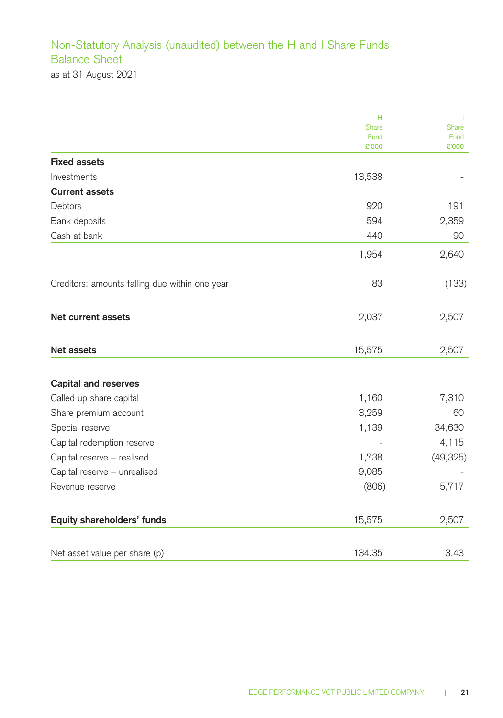## Non-Statutory Analysis (unaudited) between the H and I Share Funds Balance Sheet as at 31 August 2021

|                                                | Н             | п             |
|------------------------------------------------|---------------|---------------|
|                                                | Share         | Share         |
|                                                | Fund<br>£'000 | Fund<br>£'000 |
| <b>Fixed assets</b>                            |               |               |
| Investments                                    | 13,538        |               |
| <b>Current assets</b>                          |               |               |
| Debtors                                        | 920           | 191           |
| Bank deposits                                  | 594           | 2,359         |
| Cash at bank                                   | 440           | 90            |
|                                                | 1,954         | 2,640         |
| Creditors: amounts falling due within one year | 83            | (133)         |
|                                                |               |               |
| <b>Net current assets</b>                      | 2,037         | 2,507         |
|                                                |               |               |
| Net assets                                     | 15,575        | 2,507         |
|                                                |               |               |
| <b>Capital and reserves</b>                    |               |               |
| Called up share capital                        | 1,160         | 7,310         |
| Share premium account                          | 3,259         | 60            |
| Special reserve                                | 1,139         | 34,630        |
| Capital redemption reserve                     |               | 4,115         |
| Capital reserve - realised                     | 1,738         | (49, 325)     |
| Capital reserve - unrealised                   | 9,085         |               |
| Revenue reserve                                | (806)         | 5,717         |
| Equity shareholders' funds                     | 15,575        | 2,507         |
|                                                |               |               |
| Net asset value per share (p)                  | 134.35        | 3.43          |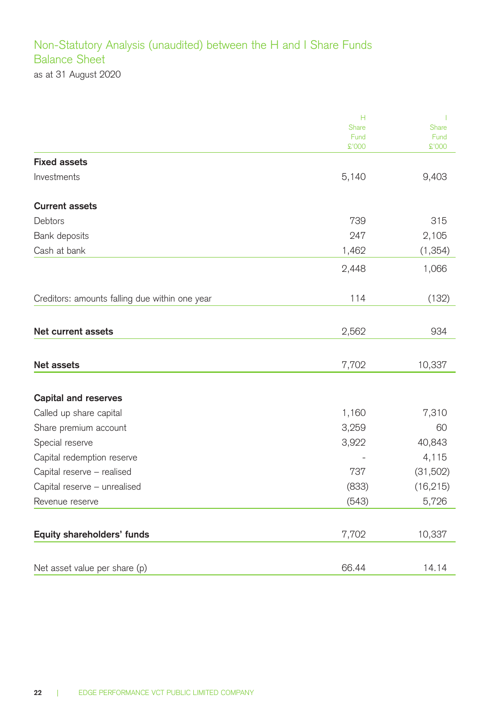## Non-Statutory Analysis (unaudited) between the H and I Share Funds Balance Sheet as at 31 August 2020

|                                                | н             |               |
|------------------------------------------------|---------------|---------------|
|                                                | Share<br>Fund | Share<br>Fund |
|                                                | \$'000        | \$'000        |
| <b>Fixed assets</b>                            |               |               |
| Investments                                    | 5,140         | 9,403         |
| <b>Current assets</b>                          |               |               |
| Debtors                                        | 739           | 315           |
| Bank deposits                                  | 247           | 2,105         |
| Cash at bank                                   | 1,462         | (1, 354)      |
|                                                | 2,448         | 1,066         |
| Creditors: amounts falling due within one year | 114           | (132)         |
|                                                |               |               |
| Net current assets                             | 2,562         | 934           |
| Net assets                                     | 7,702         | 10,337        |
| <b>Capital and reserves</b>                    |               |               |
| Called up share capital                        | 1,160         | 7,310         |
| Share premium account                          | 3,259         | 60            |
| Special reserve                                | 3,922         | 40,843        |
| Capital redemption reserve                     |               | 4,115         |
| Capital reserve - realised                     | 737           | (31,502)      |
| Capital reserve - unrealised                   | (833)         | (16, 215)     |
| Revenue reserve                                | (543)         | 5,726         |
| Equity shareholders' funds                     | 7,702         | 10,337        |
| Net asset value per share (p)                  | 66.44         | 14.14         |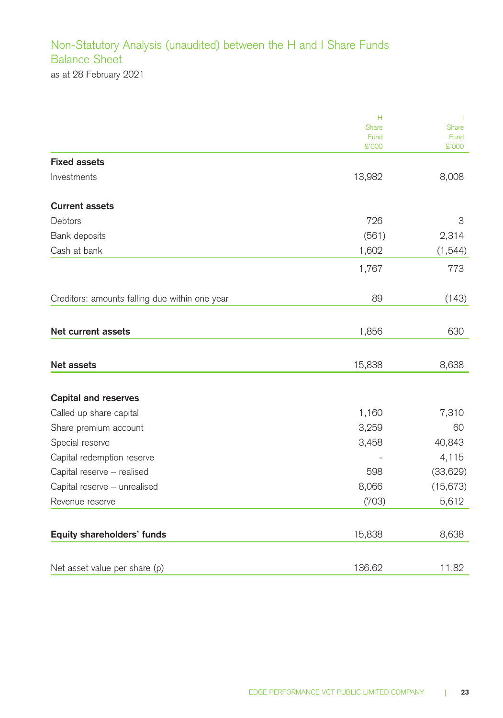## Non-Statutory Analysis (unaudited) between the H and I Share Funds Balance Sheet as at 28 February 2021

|                                                | н             | т                    |
|------------------------------------------------|---------------|----------------------|
|                                                | Share         | Share                |
|                                                | Fund<br>£'000 | Fund<br><b>COO'2</b> |
| <b>Fixed assets</b>                            |               |                      |
| Investments                                    | 13,982        | 8,008                |
| <b>Current assets</b>                          |               |                      |
| <b>Debtors</b>                                 | 726           | 3                    |
| Bank deposits                                  | (561)         | 2,314                |
| Cash at bank                                   | 1,602         | (1, 544)             |
|                                                | 1,767         | 773                  |
| Creditors: amounts falling due within one year | 89            | (143)                |
|                                                |               |                      |
| Net current assets                             | 1,856         | 630                  |
| Net assets                                     | 15,838        | 8,638                |
| <b>Capital and reserves</b>                    |               |                      |
| Called up share capital                        | 1,160         | 7,310                |
| Share premium account                          | 3,259         | 60                   |
| Special reserve                                | 3,458         | 40,843               |
| Capital redemption reserve                     |               | 4,115                |
| Capital reserve - realised                     | 598           | (33,629)             |
| Capital reserve - unrealised                   | 8,066         | (15,673)             |
| Revenue reserve                                | (703)         | 5,612                |
| Equity shareholders' funds                     | 15,838        | 8,638                |
| Net asset value per share (p)                  | 136.62        | 11.82                |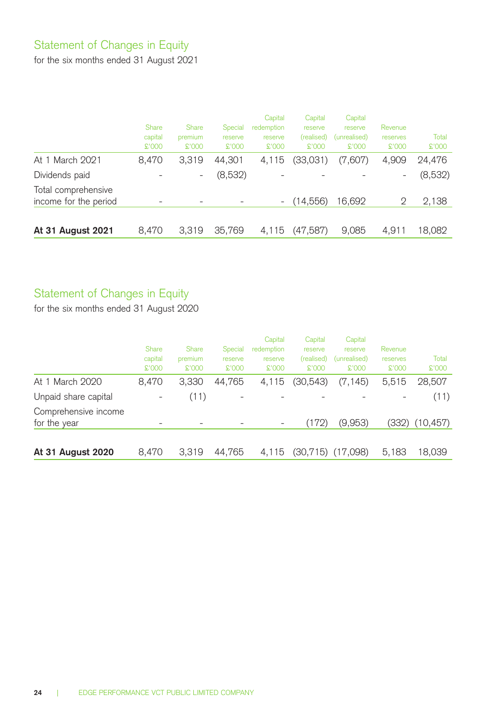## Statement of Changes in Equity

for the six months ended 31 August 2021

|                                              | Share<br>capital<br>\$'000 | Share<br>premium<br>\$'000 | Special<br>reserve<br>\$'000 | Capital<br>redemption<br>reserve<br>\$'000 | Capital<br>reserve<br>(realised)<br>\$.000 | Capital<br>reserve<br>(unrealised)<br>\$'000 | Revenue<br>reserves<br>\$'000 | Total<br>\$'000 |
|----------------------------------------------|----------------------------|----------------------------|------------------------------|--------------------------------------------|--------------------------------------------|----------------------------------------------|-------------------------------|-----------------|
| At 1 March 2021                              | 8.470                      | 3.319                      | 44.301                       | 4.115                                      | (33,031)                                   | (7,607)                                      | 4.909                         | 24.476          |
| Dividends paid                               |                            | -                          | (8,532)                      |                                            |                                            |                                              | $\overline{\phantom{0}}$      | (8,532)         |
| Total comprehensive<br>income for the period |                            |                            |                              | $\sim$                                     | (14,556)                                   | 16.692                                       | 2                             | 2,138           |
| At 31 August 2021                            | 8.470                      | 3.319                      | 35,769                       | 4.115                                      | (47, 587)                                  | 9.085                                        | 4.911                         | 18.082          |

## Statement of Changes in Equity

for the six months ended 31 August 2020

|                                      | Share<br>capital<br>£'000 | Share<br>premium<br>\$'000 | Special<br>reserve<br>\$'000 | Capital<br>redemption<br>reserve<br>\$'000 | Capital<br>reserve<br>(realised)<br>\$.000 | Capital<br>reserve<br>(unrealised)<br>\$'000 | Revenue<br>reserves<br>\$'000 | Total<br>\$'000 |
|--------------------------------------|---------------------------|----------------------------|------------------------------|--------------------------------------------|--------------------------------------------|----------------------------------------------|-------------------------------|-----------------|
| At 1 March 2020                      | 8.470                     | 3.330                      | 44.765                       | 4.115                                      | (30,543)                                   | (7, 145)                                     | 5,515                         | 28.507          |
| Unpaid share capital                 | $\overline{\phantom{0}}$  | (11)                       |                              |                                            |                                            |                                              |                               | (11)            |
| Comprehensive income<br>for the year |                           |                            |                              | $\overline{\phantom{0}}$                   | (172)                                      | (9,953)                                      | (332)                         | (10, 457)       |
| At 31 August 2020                    | 8.470                     | 3.319                      | 44.765                       | 4.115                                      | (30,715)                                   | (17.098)                                     | 5.183                         | 18.039          |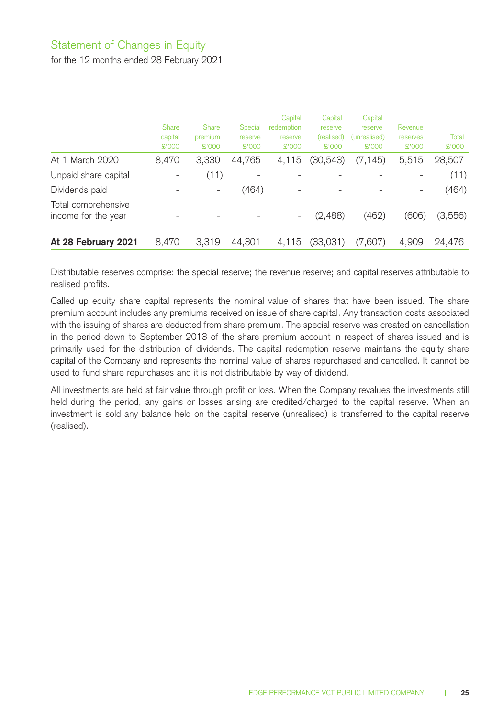## Statement of Changes in Equity

for the 12 months ended 28 February 2021

|                                            | Share<br>capital<br>\$'000 | Share<br>premium<br>\$'000 | Special<br>reserve<br>\$'000 | Capital<br>redemption<br>reserve<br>\$'000 | Capital<br>reserve<br>(realised)<br>\$.000 | Capital<br>reserve<br>(unrealised)<br>\$'000 | Revenue<br>reserves<br>\$'000 | Total<br>\$'000 |
|--------------------------------------------|----------------------------|----------------------------|------------------------------|--------------------------------------------|--------------------------------------------|----------------------------------------------|-------------------------------|-----------------|
| At 1 March 2020                            | 8.470                      | 3.330                      | 44.765                       | 4.115                                      | (30,543)                                   | (7, 145)                                     | 5,515                         | 28,507          |
| Unpaid share capital                       | -                          | (11)                       |                              |                                            |                                            |                                              |                               | (11)            |
| Dividends paid                             |                            | $\overline{\phantom{0}}$   | (464)                        | $\overline{\phantom{0}}$                   |                                            |                                              | $\overline{\phantom{a}}$      | (464)           |
| Total comprehensive<br>income for the year |                            |                            |                              | $\overline{\phantom{0}}$                   | (2,488)                                    | (462)                                        | (606)                         | (3,556)         |
| At 28 February 2021                        | 8.470                      | 3,319                      | 44,301                       | 4.115                                      | (33,031)                                   | (7.607)                                      | 4.909                         | 24,476          |

Distributable reserves comprise: the special reserve; the revenue reserve; and capital reserves attributable to realised profits.

Called up equity share capital represents the nominal value of shares that have been issued. The share premium account includes any premiums received on issue of share capital. Any transaction costs associated with the issuing of shares are deducted from share premium. The special reserve was created on cancellation in the period down to September 2013 of the share premium account in respect of shares issued and is primarily used for the distribution of dividends. The capital redemption reserve maintains the equity share capital of the Company and represents the nominal value of shares repurchased and cancelled. It cannot be used to fund share repurchases and it is not distributable by way of dividend.

All investments are held at fair value through profit or loss. When the Company revalues the investments still held during the period, any gains or losses arising are credited/charged to the capital reserve. When an investment is sold any balance held on the capital reserve (unrealised) is transferred to the capital reserve (realised).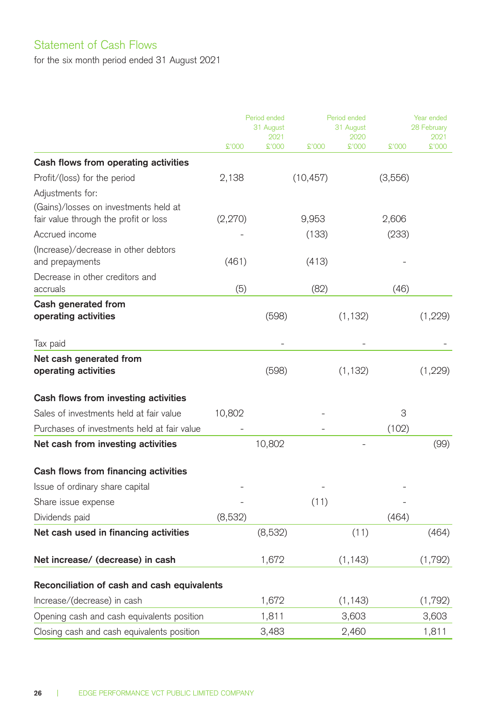## Statement of Cash Flows

for the six month period ended 31 August 2021

|                                                                                |         | Period ended<br>31 August<br>2021 |           | Period ended<br>31 August<br>2020 |         | Year ended<br>28 February<br>2021 |  |
|--------------------------------------------------------------------------------|---------|-----------------------------------|-----------|-----------------------------------|---------|-----------------------------------|--|
|                                                                                | £'000   | £'000                             | 000'3     | £'000                             | \$'000  | 000'2                             |  |
| Cash flows from operating activities                                           |         |                                   |           |                                   |         |                                   |  |
| Profit/(loss) for the period                                                   | 2,138   |                                   | (10, 457) |                                   | (3,556) |                                   |  |
| Adjustments for:                                                               |         |                                   |           |                                   |         |                                   |  |
| (Gains)/losses on investments held at<br>fair value through the profit or loss | (2,270) |                                   | 9,953     |                                   | 2,606   |                                   |  |
| Accrued income                                                                 |         |                                   | (133)     |                                   | (233)   |                                   |  |
| (Increase)/decrease in other debtors<br>and prepayments                        | (461)   |                                   | (413)     |                                   |         |                                   |  |
| Decrease in other creditors and<br>accruals                                    | (5)     |                                   | (82)      |                                   | (46)    |                                   |  |
| Cash generated from<br>operating activities                                    |         | (598)                             |           | (1, 132)                          |         | (1,229)                           |  |
| Tax paid                                                                       |         |                                   |           |                                   |         |                                   |  |
| Net cash generated from<br>operating activities                                |         | (598)                             |           | (1, 132)                          |         | (1,229)                           |  |
| Cash flows from investing activities                                           |         |                                   |           |                                   |         |                                   |  |
| Sales of investments held at fair value                                        | 10,802  |                                   |           |                                   | 3       |                                   |  |
| Purchases of investments held at fair value                                    |         |                                   |           |                                   | (102)   |                                   |  |
| Net cash from investing activities                                             |         | 10,802                            |           |                                   |         | (99)                              |  |
| Cash flows from financing activities                                           |         |                                   |           |                                   |         |                                   |  |
| Issue of ordinary share capital                                                |         |                                   |           |                                   |         |                                   |  |
| Share issue expense                                                            |         |                                   | (11)      |                                   |         |                                   |  |
| Dividends paid                                                                 | (8,532) |                                   |           |                                   | (464)   |                                   |  |
| Net cash used in financing activities                                          |         | (8,532)                           |           | (11)                              |         | (464)                             |  |
| Net increase/ (decrease) in cash                                               |         | 1,672                             |           | (1, 143)                          |         | (1,792)                           |  |
| Reconciliation of cash and cash equivalents                                    |         |                                   |           |                                   |         |                                   |  |
| Increase/(decrease) in cash                                                    |         | 1,672                             |           | (1, 143)                          |         | (1,792)                           |  |
| Opening cash and cash equivalents position                                     |         | 1,811                             |           | 3,603                             |         | 3,603                             |  |
| Closing cash and cash equivalents position                                     |         | 3,483                             |           | 2,460                             |         | 1,811                             |  |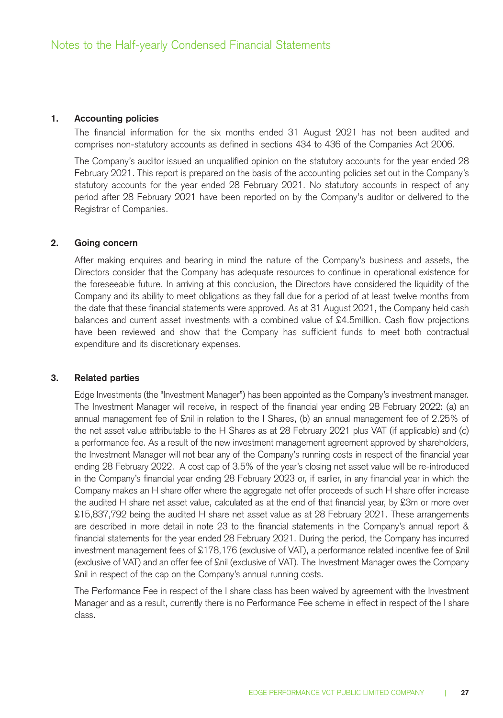### **1. Accounting policies**

The financial information for the six months ended 31 August 2021 has not been audited and comprises non-statutory accounts as defined in sections 434 to 436 of the Companies Act 2006.

The Company's auditor issued an unqualified opinion on the statutory accounts for the year ended 28 February 2021. This report is prepared on the basis of the accounting policies set out in the Company's statutory accounts for the year ended 28 February 2021. No statutory accounts in respect of any period after 28 February 2021 have been reported on by the Company's auditor or delivered to the Registrar of Companies.

### **2. Going concern**

After making enquires and bearing in mind the nature of the Company's business and assets, the Directors consider that the Company has adequate resources to continue in operational existence for the foreseeable future. In arriving at this conclusion, the Directors have considered the liquidity of the Company and its ability to meet obligations as they fall due for a period of at least twelve months from the date that these financial statements were approved. As at 31 August 2021, the Company held cash balances and current asset investments with a combined value of £4.5million. Cash flow projections have been reviewed and show that the Company has sufficient funds to meet both contractual expenditure and its discretionary expenses.

#### **3. Related parties**

Edge Investments (the "Investment Manager") has been appointed as the Company's investment manager. The Investment Manager will receive, in respect of the financial year ending 28 February 2022: (a) an annual management fee of £nil in relation to the I Shares, (b) an annual management fee of 2.25% of the net asset value attributable to the H Shares as at 28 February 2021 plus VAT (if applicable) and (c) a performance fee. As a result of the new investment management agreement approved by shareholders, the Investment Manager will not bear any of the Company's running costs in respect of the financial year ending 28 February 2022. A cost cap of 3.5% of the year's closing net asset value will be re-introduced in the Company's financial year ending 28 February 2023 or, if earlier, in any financial year in which the Company makes an H share offer where the aggregate net offer proceeds of such H share offer increase the audited H share net asset value, calculated as at the end of that financial year, by £3m or more over £15,837,792 being the audited H share net asset value as at 28 February 2021. These arrangements are described in more detail in note 23 to the financial statements in the Company's annual report & financial statements for the year ended 28 February 2021. During the period, the Company has incurred investment management fees of £178,176 (exclusive of VAT), a performance related incentive fee of £nil (exclusive of VAT) and an offer fee of £nil (exclusive of VAT). The Investment Manager owes the Company £nil in respect of the cap on the Company's annual running costs.

The Performance Fee in respect of the I share class has been waived by agreement with the Investment Manager and as a result, currently there is no Performance Fee scheme in effect in respect of the I share class.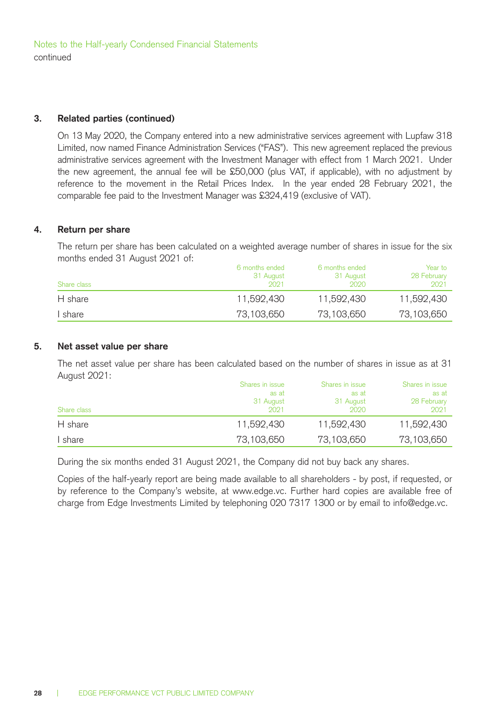Notes to the Half-yearly Condensed Financial Statements continued

### **3. Related parties (continued)**

On 13 May 2020, the Company entered into a new administrative services agreement with Lupfaw 318 Limited, now named Finance Administration Services ("FAS"). This new agreement replaced the previous administrative services agreement with the Investment Manager with effect from 1 March 2021. Under the new agreement, the annual fee will be £50,000 (plus VAT, if applicable), with no adjustment by reference to the movement in the Retail Prices Index. In the year ended 28 February 2021, the comparable fee paid to the Investment Manager was £324,419 (exclusive of VAT).

### **4. Return per share**

The return per share has been calculated on a weighted average number of shares in issue for the six months ended 31 August 2021 of:

| Share class | 6 months ended<br>31 August<br>2021 | 6 months ended<br>31 August<br>2020 | Year to<br>28 February<br>2021 |
|-------------|-------------------------------------|-------------------------------------|--------------------------------|
| H share     | 11.592.430                          | 11.592.430                          | 11.592.430                     |
| I share     | 73.103.650                          | 73.103.650                          | 73,103,650                     |

### **5. Net asset value per share**

The net asset value per share has been calculated based on the number of shares in issue as at 31 August 2021:

| Share class | Shares in issue<br>as at<br>31 August<br>2021 | Shares in issue<br>as at<br>31 August<br>2020 | Shares in issue<br>as at<br>28 February<br>2021 |
|-------------|-----------------------------------------------|-----------------------------------------------|-------------------------------------------------|
| H share     | 11,592,430                                    | 11.592.430                                    | 11.592.430                                      |
| I share     | 73.103.650                                    | 73,103,650                                    | 73,103,650                                      |

During the six months ended 31 August 2021, the Company did not buy back any shares.

Copies of the half-yearly report are being made available to all shareholders - by post, if requested, or by reference to the Company's website, at www.edge.vc. Further hard copies are available free of charge from Edge Investments Limited by telephoning 020 7317 1300 or by email to info@edge.vc.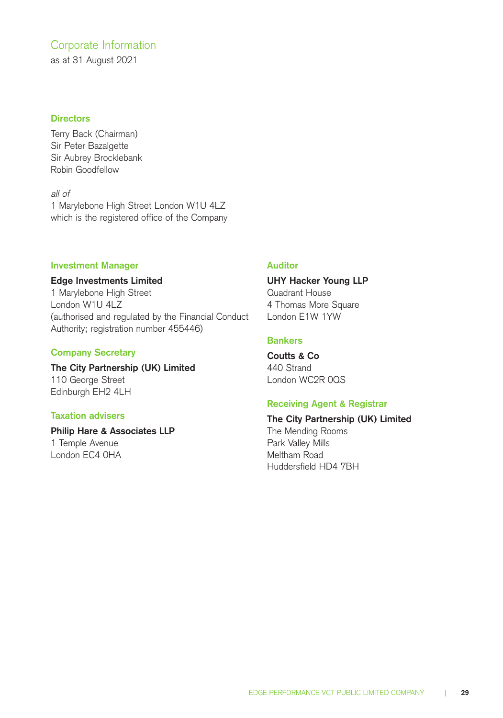### Corporate Information

as at 31 August 2021

### **Directors**

Terry Back (Chairman) Sir Peter Bazalgette Sir Aubrey Brocklebank Robin Goodfellow

all of 1 Marylebone High Street London W1U 4LZ which is the registered office of the Company

### **Investment Manager**

### **Edge Investments Limited**

1 Marylebone High Street London W1U 4LZ (authorised and regulated by the Financial Conduct Authority; registration number 455446)

### **Company Secretary**

**The City Partnership (UK) Limited**  110 George Street Edinburgh EH2 4LH

### **Taxation advisers**

### **Philip Hare & Associates LLP**  1 Temple Avenue London EC4 0HA

### **Auditor**

### **UHY Hacker Young LLP**

Quadrant House 4 Thomas More Square London E1W 1YW

### **Bankers**

**Coutts & Co**  440 Strand London WC2R 0QS

### **Receiving Agent & Registrar**

### **The City Partnership (UK) Limited**

The Mending Rooms Park Valley Mills Meltham Road Huddersfield HD4 7BH